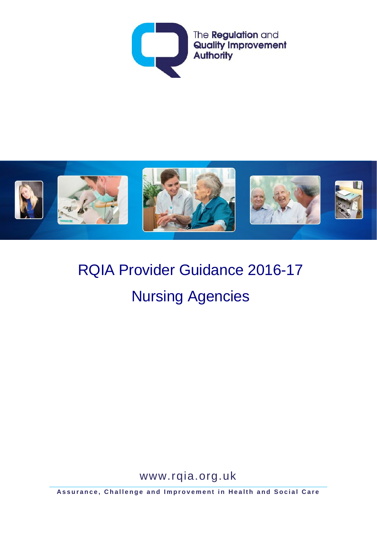



# RQIA Provider Guidance 2016-17 Nursing Agencies

www.rqia.org.uk

**Assurance, Challenge and Improvement in Health and Social Care**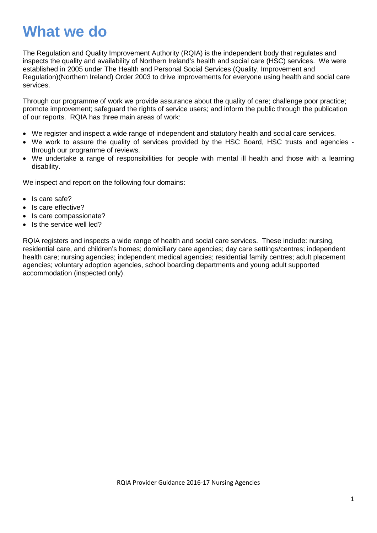## **What we do**

The Regulation and Quality Improvement Authority (RQIA) is the independent body that regulates and inspects the quality and availability of Northern Ireland's health and social care (HSC) services. We were established in 2005 under The Health and Personal Social Services (Quality, Improvement and Regulation)(Northern Ireland) Order 2003 to drive improvements for everyone using health and social care services.

Through our programme of work we provide assurance about the quality of care; challenge poor practice; promote improvement; safeguard the rights of service users; and inform the public through the publication of our reports. RQIA has three main areas of work:

- We register and inspect a wide range of independent and statutory health and social care services.
- We work to assure the quality of services provided by the HSC Board, HSC trusts and agencies through our programme of reviews.
- We undertake a range of responsibilities for people with mental ill health and those with a learning disability.

We inspect and report on the following four domains:

- Is care safe?
- Is care effective?
- Is care compassionate?
- Is the service well led?

RQIA registers and inspects a wide range of health and social care services. These include: nursing, residential care, and children's homes; domiciliary care agencies; day care settings/centres; independent health care; nursing agencies; independent medical agencies; residential family centres; adult placement agencies; voluntary adoption agencies, school boarding departments and young adult supported accommodation (inspected only).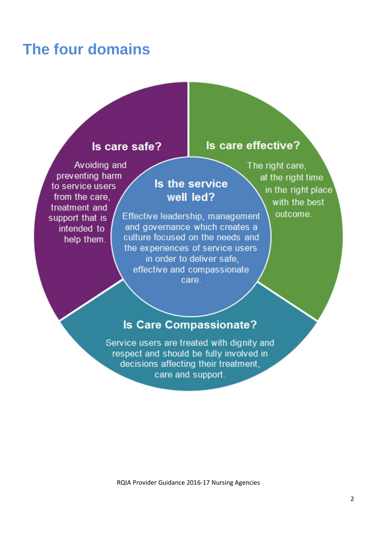## **The four domains**

#### Is care safe?

### Avoiding and preventing harm to service users from the care. treatment and support that is intended to help them.

### Is the service well led?

Effective leadership, management and governance which creates a culture focused on the needs and the experiences of service users in order to deliver safe, effective and compassionate care.

The right care, at the right time in the right place with the best

Is care effective?

outcome.

### **Is Care Compassionate?**

Service users are treated with dignity and respect and should be fully involved in decisions affecting their treatment. care and support.

RQIA Provider Guidance 2016-17 Nursing Agencies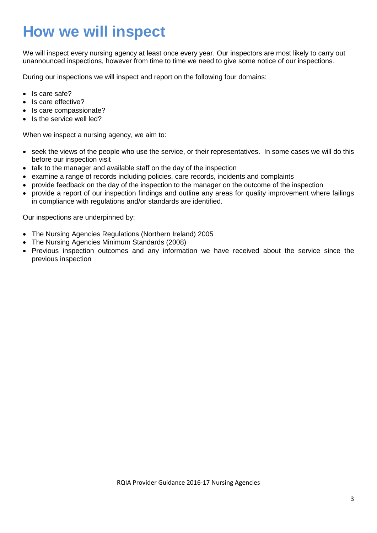## **How we will inspect**

We will inspect every nursing agency at least once every year. Our inspectors are most likely to carry out unannounced inspections, however from time to time we need to give some notice of our inspections.

During our inspections we will inspect and report on the following four domains:

- Is care safe?
- Is care effective?
- Is care compassionate?
- Is the service well led?

When we inspect a nursing agency, we aim to:

- seek the views of the people who use the service, or their representatives. In some cases we will do this before our inspection visit
- talk to the manager and available staff on the day of the inspection
- examine a range of records including policies, care records, incidents and complaints
- provide feedback on the day of the inspection to the manager on the outcome of the inspection
- provide a report of our inspection findings and outline any areas for quality improvement where failings in compliance with regulations and/or standards are identified.

Our inspections are underpinned by:

- The Nursing Agencies Regulations (Northern Ireland) 2005
- The Nursing Agencies Minimum Standards (2008)
- Previous inspection outcomes and any information we have received about the service since the previous inspection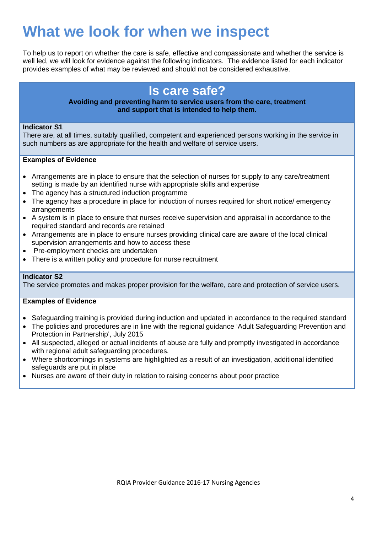## **What we look for when we inspect**

To help us to report on whether the care is safe, effective and compassionate and whether the service is well led, we will look for evidence against the following indicators. The evidence listed for each indicator provides examples of what may be reviewed and should not be considered exhaustive.

## **Is care safe?**

#### **Avoiding and preventing harm to service users from the care, treatment and support that is intended to help them.**

#### **Indicator S1**

There are, at all times, suitably qualified, competent and experienced persons working in the service in such numbers as are appropriate for the health and welfare of service users.

#### **Examples of Evidence**

- Arrangements are in place to ensure that the selection of nurses for supply to any care/treatment setting is made by an identified nurse with appropriate skills and expertise
- The agency has a structured induction programme
- The agency has a procedure in place for induction of nurses required for short notice/ emergency arrangements
- A system is in place to ensure that nurses receive supervision and appraisal in accordance to the required standard and records are retained
- Arrangements are in place to ensure nurses providing clinical care are aware of the local clinical supervision arrangements and how to access these
- Pre-employment checks are undertaken
- There is a written policy and procedure for nurse recruitment

#### **Indicator S2**

The service promotes and makes proper provision for the welfare, care and protection of service users.

- Safeguarding training is provided during induction and updated in accordance to the required standard
- The policies and procedures are in line with the regional guidance 'Adult Safeguarding Prevention and Protection in Partnership', July 2015
- All suspected, alleged or actual incidents of abuse are fully and promptly investigated in accordance with regional adult safeguarding procedures.
- Where shortcomings in systems are highlighted as a result of an investigation, additional identified safeguards are put in place
- Nurses are aware of their duty in relation to raising concerns about poor practice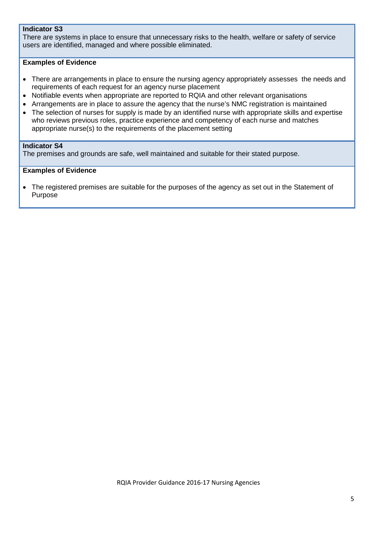#### **Indicator S3**

There are systems in place to ensure that unnecessary risks to the health, welfare or safety of service users are identified, managed and where possible eliminated.

#### **Examples of Evidence**

- There are arrangements in place to ensure the nursing agency appropriately assesses the needs and requirements of each request for an agency nurse placement
- Notifiable events when appropriate are reported to RQIA and other relevant organisations
- Arrangements are in place to assure the agency that the nurse's NMC registration is maintained
- The selection of nurses for supply is made by an identified nurse with appropriate skills and expertise who reviews previous roles, practice experience and competency of each nurse and matches appropriate nurse(s) to the requirements of the placement setting

#### **Indicator S4**

The premises and grounds are safe, well maintained and suitable for their stated purpose.

#### **Examples of Evidence**

• The registered premises are suitable for the purposes of the agency as set out in the Statement of Purpose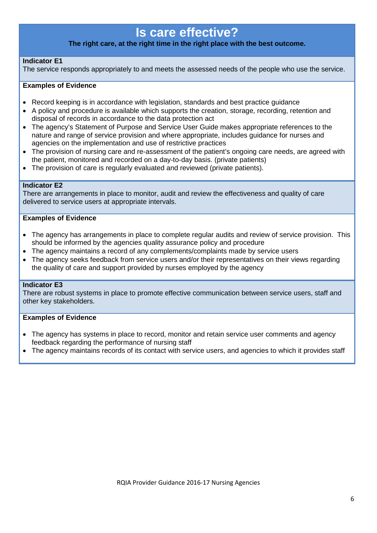## **Is care effective?**

#### **The right care, at the right time in the right place with the best outcome.**

#### **Indicator E1**

The service responds appropriately to and meets the assessed needs of the people who use the service.

#### **Examples of Evidence**

- Record keeping is in accordance with legislation, standards and best practice guidance
- A policy and procedure is available which supports the creation, storage, recording, retention and disposal of records in accordance to the data protection act
- The agency's Statement of Purpose and Service User Guide makes appropriate references to the nature and range of service provision and where appropriate, includes guidance for nurses and agencies on the implementation and use of restrictive practices
- The provision of nursing care and re-assessment of the patient's ongoing care needs, are agreed with the patient, monitored and recorded on a day-to-day basis. (private patients)
- The provision of care is regularly evaluated and reviewed (private patients).

#### **Indicator E2**

There are arrangements in place to monitor, audit and review the effectiveness and quality of care delivered to service users at appropriate intervals.

#### **Examples of Evidence**

- The agency has arrangements in place to complete regular audits and review of service provision. This should be informed by the agencies quality assurance policy and procedure
- The agency maintains a record of any complements/complaints made by service users
- The agency seeks feedback from service users and/or their representatives on their views regarding the quality of care and support provided by nurses employed by the agency

#### **Indicator E3**

There are robust systems in place to promote effective communication between service users, staff and other key stakeholders.

- The agency has systems in place to record, monitor and retain service user comments and agency feedback regarding the performance of nursing staff
- The agency maintains records of its contact with service users, and agencies to which it provides staff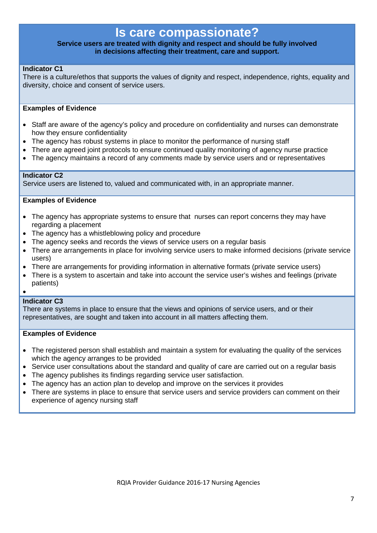### **Is care compassionate?**

#### **Service users are treated with dignity and respect and should be fully involved in decisions affecting their treatment, care and support.**

#### **Indicator C1**

There is a culture/ethos that supports the values of dignity and respect, independence, rights, equality and diversity, choice and consent of service users.

#### **Examples of Evidence**

- Staff are aware of the agency's policy and procedure on confidentiality and nurses can demonstrate how they ensure confidentiality
- The agency has robust systems in place to monitor the performance of nursing staff
- There are agreed joint protocols to ensure continued quality monitoring of agency nurse practice
- The agency maintains a record of any comments made by service users and or representatives

#### **Indicator C2**

Service users are listened to, valued and communicated with, in an appropriate manner.

#### **Examples of Evidence**

- The agency has appropriate systems to ensure that nurses can report concerns they may have regarding a placement
- The agency has a whistleblowing policy and procedure
- The agency seeks and records the views of service users on a regular basis
- There are arrangements in place for involving service users to make informed decisions (private service users)
- There are arrangements for providing information in alternative formats (private service users)
- There is a system to ascertain and take into account the service user's wishes and feelings (private patients)

#### •

#### **Indicator C3**

There are systems in place to ensure that the views and opinions of service users, and or their representatives, are sought and taken into account in all matters affecting them.

- The registered person shall establish and maintain a system for evaluating the quality of the services which the agency arranges to be provided
- Service user consultations about the standard and quality of care are carried out on a regular basis
- The agency publishes its findings regarding service user satisfaction.
- The agency has an action plan to develop and improve on the services it provides
- There are systems in place to ensure that service users and service providers can comment on their experience of agency nursing staff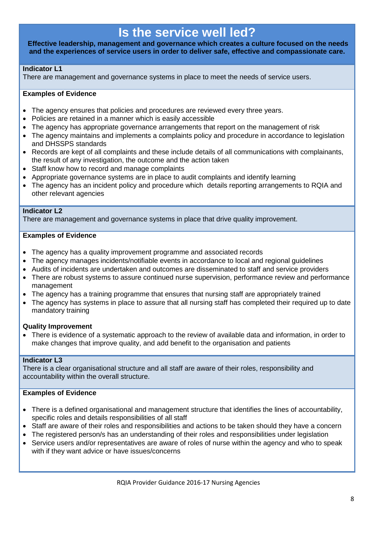## **Is the service well led?**

**Effective leadership, management and governance which creates a culture focused on the needs and the experiences of service users in order to deliver safe, effective and compassionate care.**

#### **Indicator L1**

There are management and governance systems in place to meet the needs of service users.

#### **Examples of Evidence**

- The agency ensures that policies and procedures are reviewed every three years.
- Policies are retained in a manner which is easily accessible
- The agency has appropriate governance arrangements that report on the management of risk
- The agency maintains and implements a complaints policy and procedure in accordance to legislation and DHSSPS standards
- Records are kept of all complaints and these include details of all communications with complainants, the result of any investigation, the outcome and the action taken
- Staff know how to record and manage complaints
- Appropriate governance systems are in place to audit complaints and identify learning
- The agency has an incident policy and procedure which details reporting arrangements to RQIA and other relevant agencies

#### **Indicator L2**

There are management and governance systems in place that drive quality improvement.

#### **Examples of Evidence**

- The agency has a quality improvement programme and associated records
- The agency manages incidents/notifiable events in accordance to local and regional guidelines
- Audits of incidents are undertaken and outcomes are disseminated to staff and service providers
- There are robust systems to assure continued nurse supervision, performance review and performance management
- The agency has a training programme that ensures that nursing staff are appropriately trained
- The agency has systems in place to assure that all nursing staff has completed their required up to date mandatory training

#### **Quality Improvement**

• There is evidence of a systematic approach to the review of available data and information, in order to make changes that improve quality, and add benefit to the organisation and patients

#### **Indicator L3**

There is a clear organisational structure and all staff are aware of their roles, responsibility and accountability within the overall structure.

- There is a defined organisational and management structure that identifies the lines of accountability, specific roles and details responsibilities of all staff
- Staff are aware of their roles and responsibilities and actions to be taken should they have a concern
- The registered person/s has an understanding of their roles and responsibilities under legislation
- Service users and/or representatives are aware of roles of nurse within the agency and who to speak with if they want advice or have issues/concerns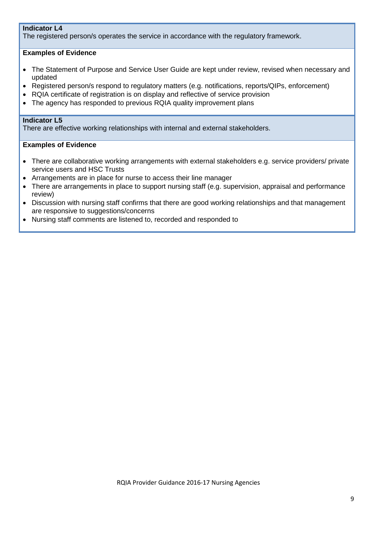#### **Indicator L4**

The registered person/s operates the service in accordance with the regulatory framework.

#### **Examples of Evidence**

- The Statement of Purpose and Service User Guide are kept under review, revised when necessary and updated
- Registered person/s respond to regulatory matters (e.g. notifications, reports/QIPs, enforcement)
- RQIA certificate of registration is on display and reflective of service provision
- The agency has responded to previous RQIA quality improvement plans

#### **Indicator L5**

There are effective working relationships with internal and external stakeholders.

- There are collaborative working arrangements with external stakeholders e.g. service providers/ private service users and HSC Trusts
- Arrangements are in place for nurse to access their line manager
- There are arrangements in place to support nursing staff (e.g. supervision, appraisal and performance review)
- Discussion with nursing staff confirms that there are good working relationships and that management are responsive to suggestions/concerns
- Nursing staff comments are listened to, recorded and responded to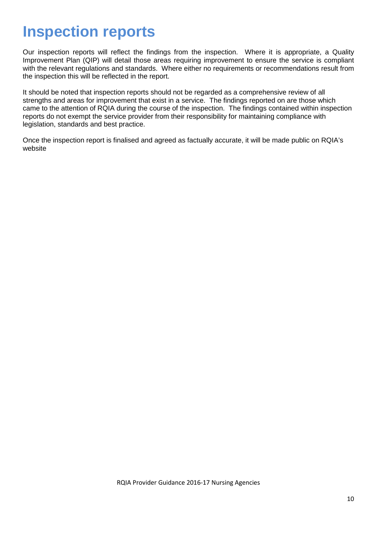## **Inspection reports**

Our inspection reports will reflect the findings from the inspection. Where it is appropriate, a Quality Improvement Plan (QIP) will detail those areas requiring improvement to ensure the service is compliant with the relevant regulations and standards. Where either no requirements or recommendations result from the inspection this will be reflected in the report.

It should be noted that inspection reports should not be regarded as a comprehensive review of all strengths and areas for improvement that exist in a service. The findings reported on are those which came to the attention of RQIA during the course of the inspection. The findings contained within inspection reports do not exempt the service provider from their responsibility for maintaining compliance with legislation, standards and best practice.

Once the inspection report is finalised and agreed as factually accurate, it will be made public on RQIA's website